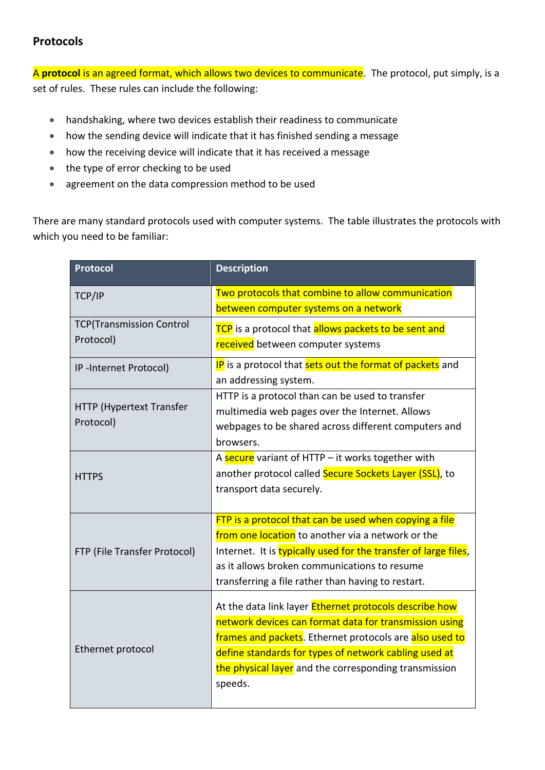## **Protocols**

A **protocol** is an agreed format, which allows two devices to communicate. The protocol, put simply, is a set of rules. These rules can include the following:

- handshaking, where two devices establish their readiness to communicate
- how the sending device will indicate that it has finished sending a message
- how the receiving device will indicate that it has received a message
- the type of error checking to be used
- agreement on the data compression method to be used

There are many standard protocols used with computer systems. The table illustrates the protocols with which you need to be familiar:

| <b>Protocol</b>                              | <b>Description</b>                                              |
|----------------------------------------------|-----------------------------------------------------------------|
| TCP/IP                                       | Two protocols that combine to allow communication               |
|                                              | between computer systems on a network                           |
| <b>TCP(Transmission Control</b><br>Protocol) | TCP is a protocol that allows packets to be sent and            |
|                                              | received between computer systems                               |
| IP-Internet Protocol)                        | IP is a protocol that sets out the format of packets and        |
|                                              | an addressing system.                                           |
| HTTP (Hypertext Transfer<br>Protocol)        | HTTP is a protocol than can be used to transfer                 |
|                                              | multimedia web pages over the Internet. Allows                  |
|                                              | webpages to be shared across different computers and            |
|                                              | browsers.                                                       |
| <b>HTTPS</b>                                 | A secure variant of HTTP - it works together with               |
|                                              | another protocol called Secure Sockets Layer (SSL), to          |
|                                              | transport data securely.                                        |
|                                              |                                                                 |
| FTP (File Transfer Protocol)                 | FTP is a protocol that can be used when copying a file          |
|                                              | from one location to another via a network or the               |
|                                              | Internet. It is typically used for the transfer of large files, |
|                                              | as it allows broken communications to resume                    |
|                                              | transferring a file rather than having to restart.              |
| Ethernet protocol                            | At the data link layer Ethernet protocols describe how          |
|                                              | network devices can format data for transmission using          |
|                                              | frames and packets. Ethernet protocols are also used to         |
|                                              | define standards for types of network cabling used at           |
|                                              | the physical layer and the corresponding transmission           |
|                                              | speeds.                                                         |
|                                              |                                                                 |